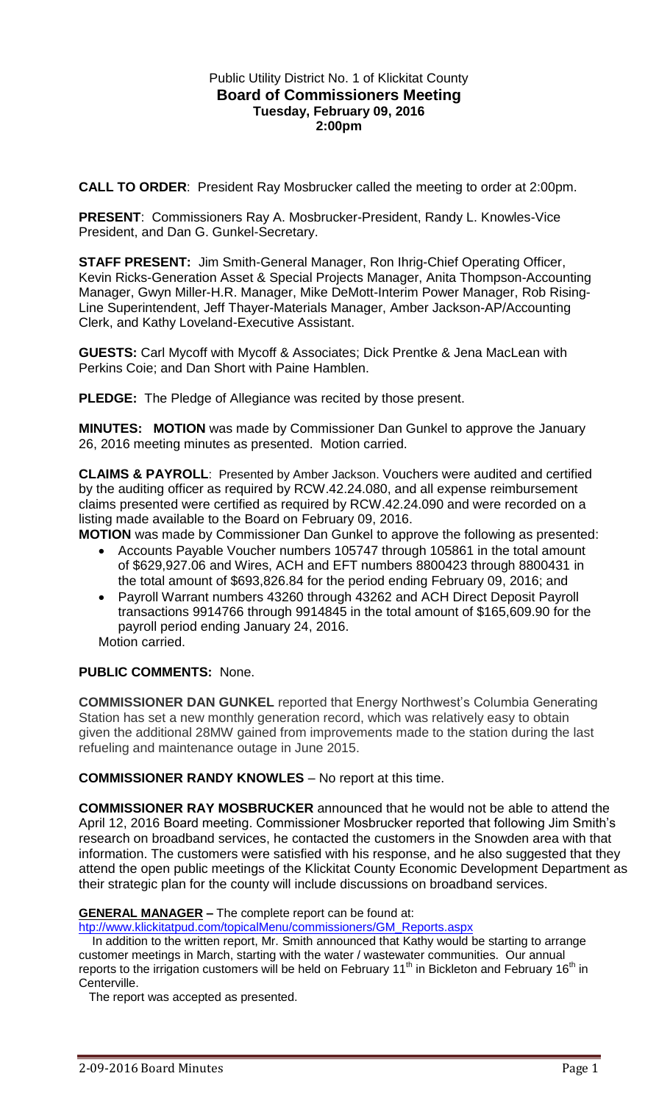## Public Utility District No. 1 of Klickitat County **Board of Commissioners Meeting Tuesday, February 09, 2016 2:00pm**

**CALL TO ORDER**: President Ray Mosbrucker called the meeting to order at 2:00pm.

**PRESENT**: Commissioners Ray A. Mosbrucker-President, Randy L. Knowles-Vice President, and Dan G. Gunkel-Secretary.

**STAFF PRESENT:** Jim Smith-General Manager, Ron Ihrig-Chief Operating Officer, Kevin Ricks-Generation Asset & Special Projects Manager, Anita Thompson-Accounting Manager, Gwyn Miller-H.R. Manager, Mike DeMott-Interim Power Manager, Rob Rising-Line Superintendent, Jeff Thayer-Materials Manager, Amber Jackson-AP/Accounting Clerk, and Kathy Loveland-Executive Assistant.

**GUESTS:** Carl Mycoff with Mycoff & Associates; Dick Prentke & Jena MacLean with Perkins Coie; and Dan Short with Paine Hamblen.

**PLEDGE:** The Pledge of Allegiance was recited by those present.

**MINUTES: MOTION** was made by Commissioner Dan Gunkel to approve the January 26, 2016 meeting minutes as presented. Motion carried.

**CLAIMS & PAYROLL**: Presented by Amber Jackson. Vouchers were audited and certified by the auditing officer as required by RCW.42.24.080, and all expense reimbursement claims presented were certified as required by RCW.42.24.090 and were recorded on a listing made available to the Board on February 09, 2016.

**MOTION** was made by Commissioner Dan Gunkel to approve the following as presented:

- Accounts Payable Voucher numbers 105747 through 105861 in the total amount of \$629,927.06 and Wires, ACH and EFT numbers 8800423 through 8800431 in the total amount of \$693,826.84 for the period ending February 09, 2016; and
- Payroll Warrant numbers 43260 through 43262 and ACH Direct Deposit Payroll transactions 9914766 through 9914845 in the total amount of \$165,609.90 for the payroll period ending January 24, 2016.

Motion carried.

## **PUBLIC COMMENTS:** None.

**COMMISSIONER DAN GUNKEL** reported that Energy Northwest's Columbia Generating Station has set a new monthly generation record, which was relatively easy to obtain given the additional 28MW gained from improvements made to the station during the last refueling and maintenance outage in June 2015.

**COMMISSIONER RANDY KNOWLES** – No report at this time.

**COMMISSIONER RAY MOSBRUCKER** announced that he would not be able to attend the April 12, 2016 Board meeting. Commissioner Mosbrucker reported that following Jim Smith's research on broadband services, he contacted the customers in the Snowden area with that information. The customers were satisfied with his response, and he also suggested that they attend the open public meetings of the Klickitat County Economic Development Department as their strategic plan for the county will include discussions on broadband services.

#### **GENERAL MANAGER –** The complete report can be found at:

[htp://www.klickitatpud.com/topicalMenu/commissioners/GM\\_Reports.aspx](http://www.klickitatpud.com/topicalMenu/commissioners/GM_Reports.aspx)

 In addition to the written report, Mr. Smith announced that Kathy would be starting to arrange customer meetings in March, starting with the water / wastewater communities. Our annual reports to the irrigation customers will be held on February 11<sup>th</sup> in Bickleton and February 16<sup>th</sup> in Centerville.

The report was accepted as presented.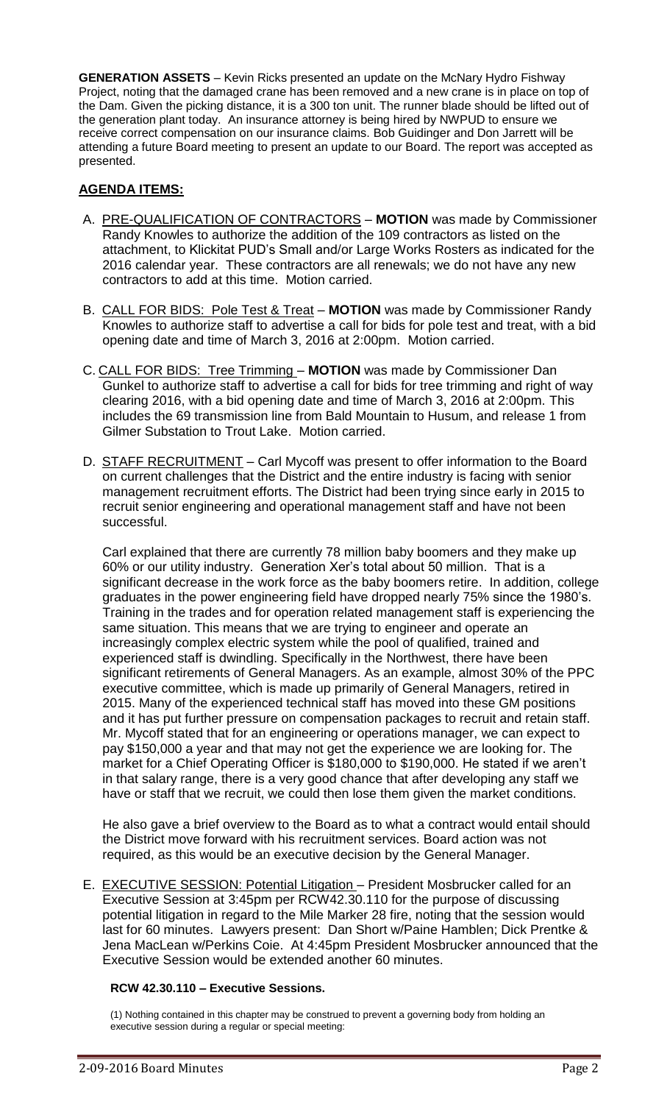**GENERATION ASSETS** – Kevin Ricks presented an update on the McNary Hydro Fishway Project, noting that the damaged crane has been removed and a new crane is in place on top of the Dam. Given the picking distance, it is a 300 ton unit. The runner blade should be lifted out of the generation plant today. An insurance attorney is being hired by NWPUD to ensure we receive correct compensation on our insurance claims. Bob Guidinger and Don Jarrett will be attending a future Board meeting to present an update to our Board. The report was accepted as presented.

# **AGENDA ITEMS:**

- A. PRE-QUALIFICATION OF CONTRACTORS **MOTION** was made by Commissioner Randy Knowles to authorize the addition of the 109 contractors as listed on the attachment, to Klickitat PUD's Small and/or Large Works Rosters as indicated for the 2016 calendar year. These contractors are all renewals; we do not have any new contractors to add at this time. Motion carried.
- B. CALL FOR BIDS: Pole Test & Treat **MOTION** was made by Commissioner Randy Knowles to authorize staff to advertise a call for bids for pole test and treat, with a bid opening date and time of March 3, 2016 at 2:00pm. Motion carried.
- C. CALL FOR BIDS: Tree Trimming **MOTION** was made by Commissioner Dan Gunkel to authorize staff to advertise a call for bids for tree trimming and right of way clearing 2016, with a bid opening date and time of March 3, 2016 at 2:00pm. This includes the 69 transmission line from Bald Mountain to Husum, and release 1 from Gilmer Substation to Trout Lake. Motion carried.
- D. STAFF RECRUITMENT Carl Mycoff was present to offer information to the Board on current challenges that the District and the entire industry is facing with senior management recruitment efforts. The District had been trying since early in 2015 to recruit senior engineering and operational management staff and have not been successful.

Carl explained that there are currently 78 million baby boomers and they make up 60% or our utility industry. Generation Xer's total about 50 million. That is a significant decrease in the work force as the baby boomers retire. In addition, college graduates in the power engineering field have dropped nearly 75% since the 1980's. Training in the trades and for operation related management staff is experiencing the same situation. This means that we are trying to engineer and operate an increasingly complex electric system while the pool of qualified, trained and experienced staff is dwindling. Specifically in the Northwest, there have been significant retirements of General Managers. As an example, almost 30% of the PPC executive committee, which is made up primarily of General Managers, retired in 2015. Many of the experienced technical staff has moved into these GM positions and it has put further pressure on compensation packages to recruit and retain staff. Mr. Mycoff stated that for an engineering or operations manager, we can expect to pay \$150,000 a year and that may not get the experience we are looking for. The market for a Chief Operating Officer is \$180,000 to \$190,000. He stated if we aren't in that salary range, there is a very good chance that after developing any staff we have or staff that we recruit, we could then lose them given the market conditions.

He also gave a brief overview to the Board as to what a contract would entail should the District move forward with his recruitment services. Board action was not required, as this would be an executive decision by the General Manager.

E. EXECUTIVE SESSION: Potential Litigation – President Mosbrucker called for an Executive Session at 3:45pm per RCW42.30.110 for the purpose of discussing potential litigation in regard to the Mile Marker 28 fire, noting that the session would last for 60 minutes. Lawyers present: Dan Short w/Paine Hamblen; Dick Prentke & Jena MacLean w/Perkins Coie. At 4:45pm President Mosbrucker announced that the Executive Session would be extended another 60 minutes.

## **RCW 42.30.110 – Executive Sessions.**

(1) Nothing contained in this chapter may be construed to prevent a governing body from holding an executive session during a regular or special meeting: